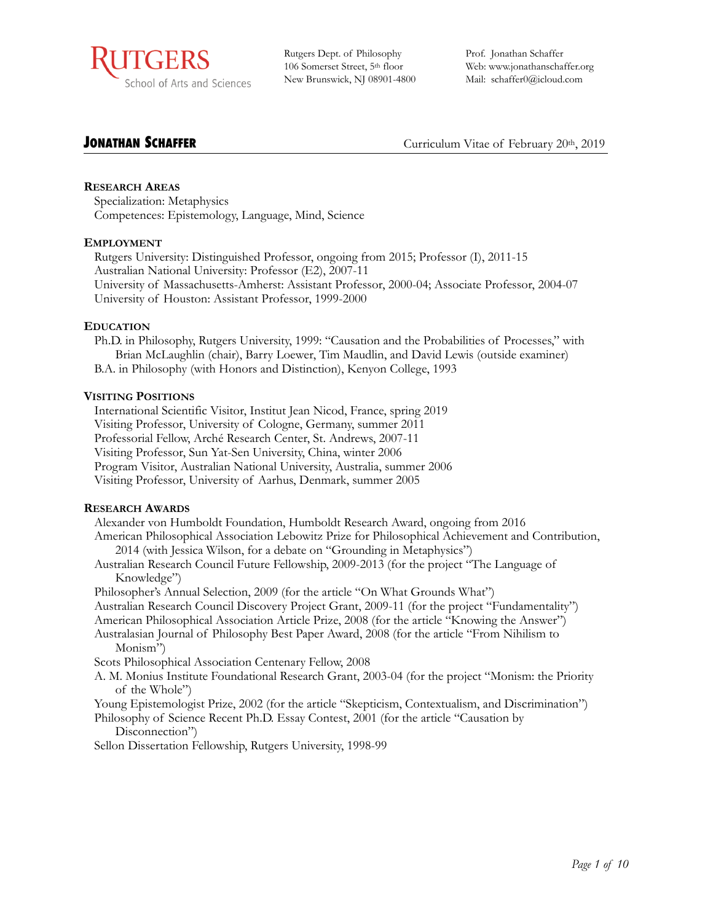

Rutgers Dept. of Philosophy 106 Somerset Street, 5th floor New Brunswick, NJ 08901-4800 Prof. Jonathan Schaffer Web: www.jonathanschaffer.org Mail: [schaffer0@icloud.com](mailto:schaffer0@icloud.com?subject=)

**JONATHAN SCHAFFER**<br>
Curriculum Vitae of February 20th, 2019

## **RESEARCH AREAS**

Specialization: Metaphysics Competences: Epistemology, Language, Mind, Science

## **EMPLOYMENT**

Rutgers University: Distinguished Professor, ongoing from 2015; Professor (I), 2011-15 Australian National University: Professor (E2), 2007-11 University of Massachusetts-Amherst: Assistant Professor, 2000-04; Associate Professor, 2004-07 University of Houston: Assistant Professor, 1999-2000

## **EDUCATION**

Ph.D. in Philosophy, Rutgers University, 1999: "Causation and the Probabilities of Processes," with Brian McLaughlin (chair), Barry Loewer, Tim Maudlin, and David Lewis (outside examiner) B.A. in Philosophy (with Honors and Distinction), Kenyon College, 1993

## **VISITING POSITIONS**

International Scientific Visitor, Institut Jean Nicod, France, spring 2019 Visiting Professor, University of Cologne, Germany, summer 2011 Professorial Fellow, Arché Research Center, St. Andrews, 2007-11 Visiting Professor, Sun Yat-Sen University, China, winter 2006 Program Visitor, Australian National University, Australia, summer 2006 Visiting Professor, University of Aarhus, Denmark, summer 2005

#### **RESEARCH AWARDS**

Alexander von Humboldt Foundation, Humboldt Research Award, ongoing from 2016

- American Philosophical Association Lebowitz Prize for Philosophical Achievement and Contribution, 2014 (with Jessica Wilson, for a debate on "Grounding in Metaphysics")
- Australian Research Council Future Fellowship, 2009-2013 (for the project "The Language of Knowledge")

Philosopher's Annual Selection, 2009 (for the article "On What Grounds What")

Australian Research Council Discovery Project Grant, 2009-11 (for the project "Fundamentality")

- American Philosophical Association Article Prize, 2008 (for the article "Knowing the Answer")
- Australasian Journal of Philosophy Best Paper Award, 2008 (for the article "From Nihilism to Monism")
- Scots Philosophical Association Centenary Fellow, 2008
- A. M. Monius Institute Foundational Research Grant, 2003-04 (for the project "Monism: the Priority of the Whole")
- Young Epistemologist Prize, 2002 (for the article "Skepticism, Contextualism, and Discrimination")
- Philosophy of Science Recent Ph.D. Essay Contest, 2001 (for the article "Causation by Disconnection")

Sellon Dissertation Fellowship, Rutgers University, 1998-99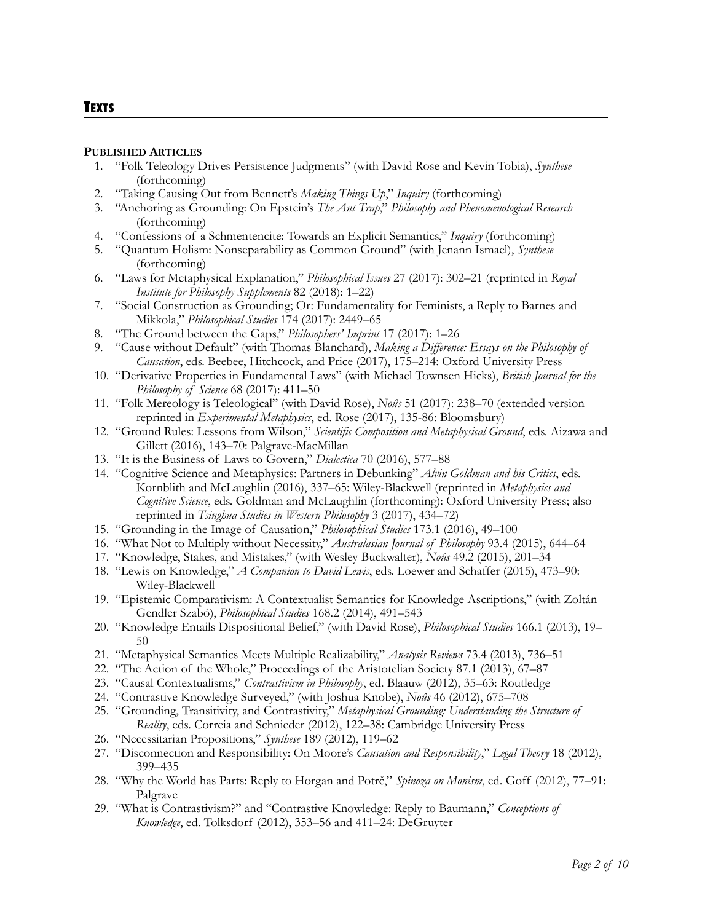# **TEXTS**

#### **PUBLISHED ARTICLES**

- 1. "Folk Teleology Drives Persistence Judgments" (with David Rose and Kevin Tobia), *Synthese* (forthcoming)
- 2. "Taking Causing Out from Bennett's *Making Things Up*," *Inquiry* (forthcoming)
- 3. "Anchoring as Grounding: On Epstein's *The Ant Trap*," *Philosophy and Phenomenological Research*  (forthcoming)
- 4. "Confessions of a Schmentencite: Towards an Explicit Semantics," *Inquiry* (forthcoming)
- 5. "Quantum Holism: Nonseparability as Common Ground" (with Jenann Ismael), *Synthese* (forthcoming)
- 6. "Laws for Metaphysical Explanation," *Philosophical Issues* 27 (2017): 302–21 (reprinted in *Royal Institute for Philosophy Supplements* 82 (2018): 1–22)
- 7. "Social Construction as Grounding; Or: Fundamentality for Feminists, a Reply to Barnes and Mikkola," *Philosophical Studies* 174 (2017): 2449–65
- 8. "The Ground between the Gaps," *Philosophers' Imprint* 17 (2017): 1–26
- 9. "Cause without Default" (with Thomas Blanchard), *Making a Difference: Essays on the Philosophy of Causation*, eds. Beebee, Hitchcock, and Price (2017), 175–214: Oxford University Press
- 10. "Derivative Properties in Fundamental Laws" (with Michael Townsen Hicks), *British Journal for the Philosophy of Science* 68 (2017): 411–50
- 11. "Folk Mereology is Teleological" (with David Rose), *Noûs* 51 (2017): 238–70 (extended version reprinted in *Experimental Metaphysics*, ed. Rose (2017), 135-86: Bloomsbury)
- 12. "Ground Rules: Lessons from Wilson," *Scientific Composition and Metaphysical Ground*, eds. Aizawa and Gillett (2016), 143–70: Palgrave-MacMillan
- 13. "It is the Business of Laws to Govern," *Dialectica* 70 (2016), 577–88
- 14. "Cognitive Science and Metaphysics: Partners in Debunking" *Alvin Goldman and his Critics*, eds. Kornblith and McLaughlin (2016), 337–65: Wiley-Blackwell (reprinted in *Metaphysics and Cognitive Science*, eds. Goldman and McLaughlin (forthcoming): Oxford University Press; also reprinted in *Tsinghua Studies in Western Philosophy* 3 (2017), 434–72)
- 15. "Grounding in the Image of Causation," *Philosophical Studies* 173.1 (2016), 49–100
- 16. "What Not to Multiply without Necessity," *Australasian Journal of Philosophy* 93.4 (2015), 644–64
- 17. "Knowledge, Stakes, and Mistakes," (with Wesley Buckwalter), *Noûs* 49.2 (2015), 201–34
- 18. "Lewis on Knowledge," *A Companion to David Lewis*, eds. Loewer and Schaffer (2015), 473–90: Wiley-Blackwell
- 19. "Epistemic Comparativism: A Contextualist Semantics for Knowledge Ascriptions," (with Zoltán Gendler Szabó), *Philosophical Studies* 168.2 (2014), 491–543
- 20. "Knowledge Entails Dispositional Belief," (with David Rose), *Philosophical Studies* 166.1 (2013), 19– 50
- 21. "Metaphysical Semantics Meets Multiple Realizability," *Analysis Reviews* 73.4 (2013), 736–51
- 22. "The Action of the Whole," Proceedings of the Aristotelian Society 87.1 (2013), 67–87
- 23. "Causal Contextualisms," *Contrastivism in Philosophy*, ed. Blaauw (2012), 35–63: Routledge
- 24. "Contrastive Knowledge Surveyed," (with Joshua Knobe), *Noûs* 46 (2012), 675–708
- 25. "Grounding, Transitivity, and Contrastivity," *Metaphysical Grounding: Understanding the Structure of Reality*, eds. Correia and Schnieder (2012), 122–38: Cambridge University Press
- 26. "Necessitarian Propositions," *Synthese* 189 (2012), 119–62
- 27. "Disconnection and Responsibility: On Moore's *Causation and Responsibility*," *Legal Theory* 18 (2012), 399–435
- 28. "Why the World has Parts: Reply to Horgan and Potrč," *Spinoza on Monism*, ed. Goff (2012), 77–91: Palgrave
- 29. "What is Contrastivism?" and "Contrastive Knowledge: Reply to Baumann," *Conceptions of Knowledge*, ed. Tolksdorf (2012), 353–56 and 411–24: DeGruyter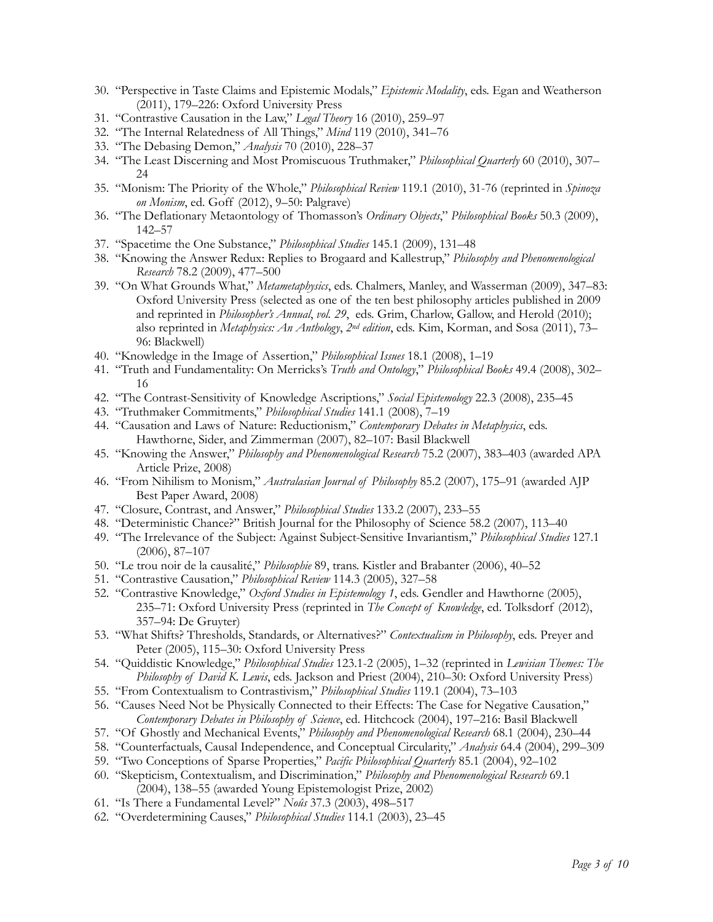- 30. "Perspective in Taste Claims and Epistemic Modals," *Epistemic Modality*, eds. Egan and Weatherson (2011), 179–226: Oxford University Press
- 31. "Contrastive Causation in the Law," *Legal Theory* 16 (2010), 259–97
- 32. "The Internal Relatedness of All Things," *Mind* 119 (2010), 341–76
- 33. "The Debasing Demon," *Analysis* 70 (2010), 228–37
- 34. "The Least Discerning and Most Promiscuous Truthmaker," *Philosophical Quarterly* 60 (2010), 307– 24
- 35. "Monism: The Priority of the Whole," *Philosophical Review* 119.1 (2010), 31-76 (reprinted in *Spinoza on Monism*, ed. Goff (2012), 9–50: Palgrave)
- 36. "The Deflationary Metaontology of Thomasson's *Ordinary Objects*," *Philosophical Books* 50.3 (2009), 142–57
- 37. "Spacetime the One Substance," *Philosophical Studies* 145.1 (2009), 131–48
- 38. "Knowing the Answer Redux: Replies to Brogaard and Kallestrup," *Philosophy and Phenomenological Research* 78.2 (2009), 477–500
- 39. "On What Grounds What," *Metametaphysics*, eds. Chalmers, Manley, and Wasserman (2009), 347–83: Oxford University Press (selected as one of the ten best philosophy articles published in 2009 and reprinted in *Philosopher's Annual*, *vol. 29*, eds. Grim, Charlow, Gallow, and Herold (2010); also reprinted in *Metaphysics: An Anthology*, *2nd edition*, eds. Kim, Korman, and Sosa (2011), 73– 96: Blackwell)
- 40. "Knowledge in the Image of Assertion," *Philosophical Issues* 18.1 (2008), 1–19
- 41. "Truth and Fundamentality: On Merricks's *Truth and Ontology*," *Philosophical Books* 49.4 (2008), 302– 16
- 42. "The Contrast-Sensitivity of Knowledge Ascriptions," *Social Epistemology* 22.3 (2008), 235–45
- 43. "Truthmaker Commitments," *Philosophical Studies* 141.1 (2008), 7–19
- 44. "Causation and Laws of Nature: Reductionism," *Contemporary Debates in Metaphysics*, eds. Hawthorne, Sider, and Zimmerman (2007), 82–107: Basil Blackwell
- 45. "Knowing the Answer," *Philosophy and Phenomenological Research* 75.2 (2007), 383–403 (awarded APA Article Prize, 2008)
- 46. "From Nihilism to Monism," *Australasian Journal of Philosophy* 85.2 (2007), 175–91 (awarded AJP Best Paper Award, 2008)
- 47. "Closure, Contrast, and Answer," *Philosophical Studies* 133.2 (2007), 233–55
- 48. "Deterministic Chance?" British Journal for the Philosophy of Science 58.2 (2007), 113–40
- 49. "The Irrelevance of the Subject: Against Subject-Sensitive Invariantism," *Philosophical Studies* 127.1 (2006), 87–107
- 50. "Le trou noir de la causalité," *Philosophie* 89, trans. Kistler and Brabanter (2006), 40–52
- 51. "Contrastive Causation," *Philosophical Review* 114.3 (2005), 327–58
- 52. "Contrastive Knowledge," *Oxford Studies in Epistemology 1*, eds. Gendler and Hawthorne (2005), 235–71: Oxford University Press (reprinted in *The Concept of Knowledge*, ed. Tolksdorf (2012), 357–94: De Gruyter)
- 53. "What Shifts? Thresholds, Standards, or Alternatives?" *Contextualism in Philosophy*, eds. Preyer and Peter (2005), 115–30: Oxford University Press
- 54. "Quiddistic Knowledge," *Philosophical Studies* 123.1-2 (2005), 1–32 (reprinted in *Lewisian Themes: The Philosophy of David K. Lewis*, eds. Jackson and Priest (2004), 210–30: Oxford University Press)
- 55. "From Contextualism to Contrastivism," *Philosophical Studies* 119.1 (2004), 73–103
- 56. "Causes Need Not be Physically Connected to their Effects: The Case for Negative Causation," *Contemporary Debates in Philosophy of Science*, ed. Hitchcock (2004), 197–216: Basil Blackwell
- 57. "Of Ghostly and Mechanical Events," *Philosophy and Phenomenological Research* 68.1 (2004), 230–44
- 58. "Counterfactuals, Causal Independence, and Conceptual Circularity," *Analysis* 64.4 (2004), 299–309
- 59. "Two Conceptions of Sparse Properties," *Pacific Philosophical Quarterly* 85.1 (2004), 92–102
- 60. "Skepticism, Contextualism, and Discrimination," *Philosophy and Phenomenological Research* 69.1 (2004), 138–55 (awarded Young Epistemologist Prize, 2002)
- 61. "Is There a Fundamental Level?" *Noûs* 37.3 (2003), 498–517
- 62. "Overdetermining Causes," *Philosophical Studies* 114.1 (2003), 23–45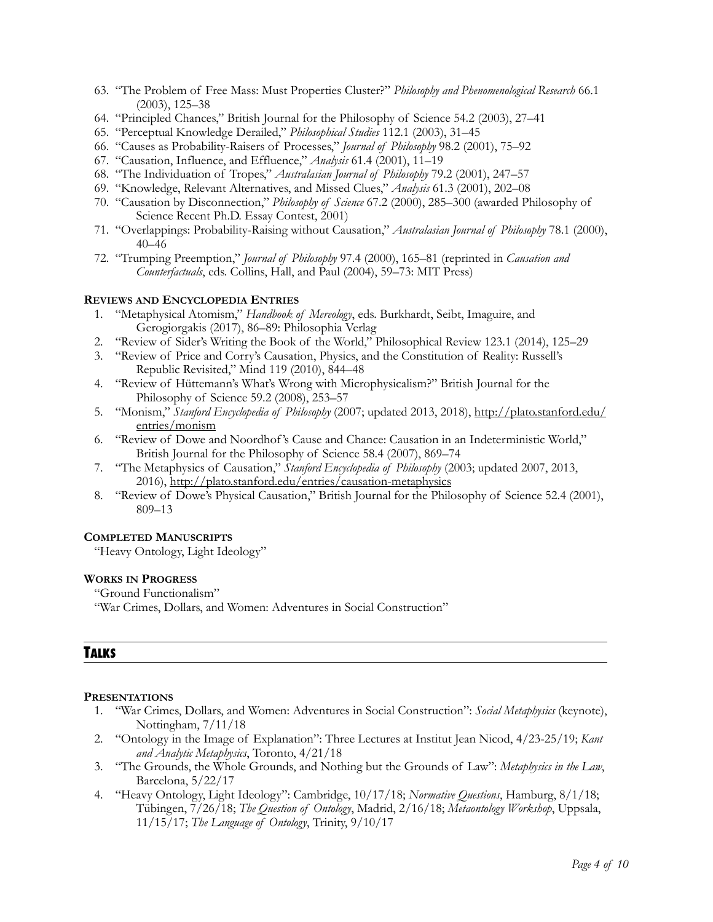- 63. "The Problem of Free Mass: Must Properties Cluster?" *Philosophy and Phenomenological Research* 66.1 (2003), 125–38
- 64. "Principled Chances," British Journal for the Philosophy of Science 54.2 (2003), 27–41
- 65. "Perceptual Knowledge Derailed," *Philosophical Studies* 112.1 (2003), 31–45
- 66. "Causes as Probability-Raisers of Processes," *Journal of Philosophy* 98.2 (2001), 75–92
- 67. "Causation, Influence, and Effluence," *Analysis* 61.4 (2001), 11–19
- 68. "The Individuation of Tropes," *Australasian Journal of Philosophy* 79.2 (2001), 247–57
- 69. "Knowledge, Relevant Alternatives, and Missed Clues," *Analysis* 61.3 (2001), 202–08
- 70. "Causation by Disconnection," *Philosophy of Science* 67.2 (2000), 285–300 (awarded Philosophy of Science Recent Ph.D. Essay Contest, 2001)
- 71. "Overlappings: Probability-Raising without Causation," *Australasian Journal of Philosophy* 78.1 (2000), 40–46
- 72. "Trumping Preemption," *Journal of Philosophy* 97.4 (2000), 165–81 (reprinted in *Causation and Counterfactuals*, eds. Collins, Hall, and Paul (2004), 59–73: MIT Press)

#### **REVIEWS AND ENCYCLOPEDIA ENTRIES**

- 1. "Metaphysical Atomism," *Handbook of Mereology*, eds. Burkhardt, Seibt, Imaguire, and Gerogiorgakis (2017), 86–89: Philosophia Verlag
- 2. "Review of Sider's Writing the Book of the World," Philosophical Review 123.1 (2014), 125–29
- 3. "Review of Price and Corry's Causation, Physics, and the Constitution of Reality: Russell's Republic Revisited," Mind 119 (2010), 844–48
- 4. "Review of Hüttemann's What's Wrong with Microphysicalism?" British Journal for the Philosophy of Science 59.2 (2008), 253–57
- 5. "Monism," *Stanford Encyclopedia of Philosophy* (2007; updated 2013, 2018), [http://plato.stanford.edu/](http://plato.stanford.edu/entries/monism) [entries/monism](http://plato.stanford.edu/entries/monism)
- 6. "Review of Dowe and Noordhof 's Cause and Chance: Causation in an Indeterministic World," British Journal for the Philosophy of Science 58.4 (2007), 869–74
- 7. "The Metaphysics of Causation," *Stanford Encyclopedia of Philosophy* (2003; updated 2007, 2013, 2016), <http://plato.stanford.edu/entries/causation-metaphysics>
- 8. "Review of Dowe's Physical Causation," British Journal for the Philosophy of Science 52.4 (2001), 809–13

#### **COMPLETED MANUSCRIPTS**

"Heavy Ontology, Light Ideology"

#### **WORKS IN PROGRESS**

"Ground Functionalism"

"War Crimes, Dollars, and Women: Adventures in Social Construction"

## **TALKS**

#### **PRESENTATIONS**

- 1. "War Crimes, Dollars, and Women: Adventures in Social Construction": *Social Metaphysics* (keynote), Nottingham, 7/11/18
- 2. "Ontology in the Image of Explanation": Three Lectures at Institut Jean Nicod, 4/23-25/19; *Kant and Analytic Metaphysics*, Toronto, 4/21/18
- 3. "The Grounds, the Whole Grounds, and Nothing but the Grounds of Law": *Metaphysics in the Law*, Barcelona, 5/22/17
- 4. "Heavy Ontology, Light Ideology": Cambridge, 10/17/18; *Normative Questions*, Hamburg, 8/1/18; Tübingen, 7/26/18; *The Question of Ontology*, Madrid, 2/16/18; *Metaontology Workshop*, Uppsala, 11/15/17; *The Language of Ontology*, Trinity, 9/10/17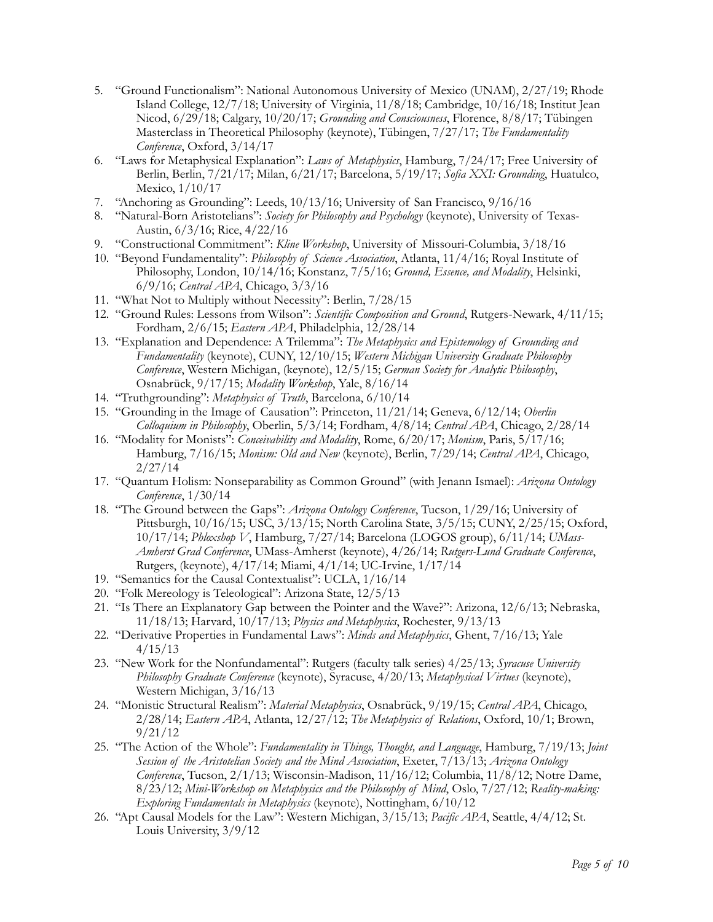- 5. "Ground Functionalism": National Autonomous University of Mexico (UNAM), 2/27/19; Rhode Island College, 12/7/18; University of Virginia, 11/8/18; Cambridge, 10/16/18; Institut Jean Nicod, 6/29/18; Calgary, 10/20/17; *Grounding and Consciousness*, Florence, 8/8/17; Tübingen Masterclass in Theoretical Philosophy (keynote), Tübingen, 7/27/17; *The Fundamentality Conference*, Oxford, 3/14/17
- 6. "Laws for Metaphysical Explanation": *Laws of Metaphysics*, Hamburg, 7/24/17; Free University of Berlin, Berlin, 7/21/17; Milan, 6/21/17; Barcelona, 5/19/17; *Sofia XXI: Grounding*, Huatulco, Mexico, 1/10/17
- 7. "Anchoring as Grounding": Leeds, 10/13/16; University of San Francisco, 9/16/16
- 8. "Natural-Born Aristotelians": *Society for Philosophy and Psychology* (keynote), University of Texas-Austin, 6/3/16; Rice, 4/22/16
- 9. "Constructional Commitment": *Kline Workshop*, University of Missouri-Columbia, 3/18/16
- 10. "Beyond Fundamentality": *Philosophy of Science Association*, Atlanta, 11/4/16; Royal Institute of Philosophy, London, 10/14/16; Konstanz, 7/5/16; *Ground, Essence, and Modality*, Helsinki, 6/9/16; *Central APA*, Chicago, 3/3/16
- 11. "What Not to Multiply without Necessity": Berlin, 7/28/15
- 12. "Ground Rules: Lessons from Wilson": *Scientific Composition and Ground*, Rutgers-Newark, 4/11/15; Fordham, 2/6/15; *Eastern APA*, Philadelphia, 12/28/14
- 13. "Explanation and Dependence: A Trilemma": *The Metaphysics and Epistemology of Grounding and Fundamentality* (keynote), CUNY, 12/10/15; *Western Michigan University Graduate Philosophy Conference*, Western Michigan, (keynote), 12/5/15; *German Society for Analytic Philosophy*, Osnabrück, 9/17/15; *Modality Workshop*, Yale, 8/16/14
- 14. "Truthgrounding": *Metaphysics of Truth*, Barcelona, 6/10/14
- 15. "Grounding in the Image of Causation": Princeton, 11/21/14; Geneva, 6/12/14; *Oberlin Colloquium in Philosophy*, Oberlin, 5/3/14; Fordham, 4/8/14; *Central APA*, Chicago, 2/28/14
- 16. "Modality for Monists": *Conceivability and Modality*, Rome, 6/20/17; *Monism*, Paris, 5/17/16; Hamburg, 7/16/15; *Monism: Old and New* (keynote), Berlin, 7/29/14; *Central APA*, Chicago, 2/27/14
- 17. "Quantum Holism: Nonseparability as Common Ground" (with Jenann Ismael): *Arizona Ontology Conference*, 1/30/14
- 18. "The Ground between the Gaps": *Arizona Ontology Conference*, Tucson, 1/29/16; University of Pittsburgh, 10/16/15; USC, 3/13/15; North Carolina State, 3/5/15; CUNY, 2/25/15; Oxford, 10/17/14; *Phloxshop V*, Hamburg, 7/27/14; Barcelona (LOGOS group), 6/11/14; *UMass-Amherst Grad Conference*, UMass-Amherst (keynote), 4/26/14; *Rutgers-Lund Graduate Conference*, Rutgers, (keynote), 4/17/14; Miami, 4/1/14; UC-Irvine, 1/17/14
- 19. "Semantics for the Causal Contextualist": UCLA, 1/16/14
- 20. "Folk Mereology is Teleological": Arizona State, 12/5/13
- 21. "Is There an Explanatory Gap between the Pointer and the Wave?": Arizona, 12/6/13; Nebraska, 11/18/13; Harvard, 10/17/13; *Physics and Metaphysics*, Rochester, 9/13/13
- 22. "Derivative Properties in Fundamental Laws": *Minds and Metaphysics*, Ghent, 7/16/13; Yale 4/15/13
- 23. "New Work for the Nonfundamental": Rutgers (faculty talk series) 4/25/13; *Syracuse University Philosophy Graduate Conference* (keynote), Syracuse, 4/20/13; *Metaphysical Virtues* (keynote), Western Michigan, 3/16/13
- 24. "Monistic Structural Realism": *Material Metaphysics*, Osnabrück, 9/19/15; *Central APA*, Chicago, 2/28/14; *Eastern APA*, Atlanta, 12/27/12; *The Metaphysics of Relations*, Oxford, 10/1; Brown, 9/21/12
- 25. "The Action of the Whole": *Fundamentality in Things, Thought, and Language*, Hamburg, 7/19/13; *Joint Session of the Aristotelian Society and the Mind Association*, Exeter, 7/13/13; *Arizona Ontology Conference*, Tucson, 2/1/13; Wisconsin-Madison, 11/16/12; Columbia, 11/8/12; Notre Dame, 8/23/12; *Mini-Workshop on Metaphysics and the Philosophy of Mind*, Oslo, 7/27/12; *Reality-making: Exploring Fundamentals in Metaphysics* (keynote), Nottingham, 6/10/12
- 26. "Apt Causal Models for the Law": Western Michigan, 3/15/13; *Pacific APA*, Seattle, 4/4/12; St. Louis University, 3/9/12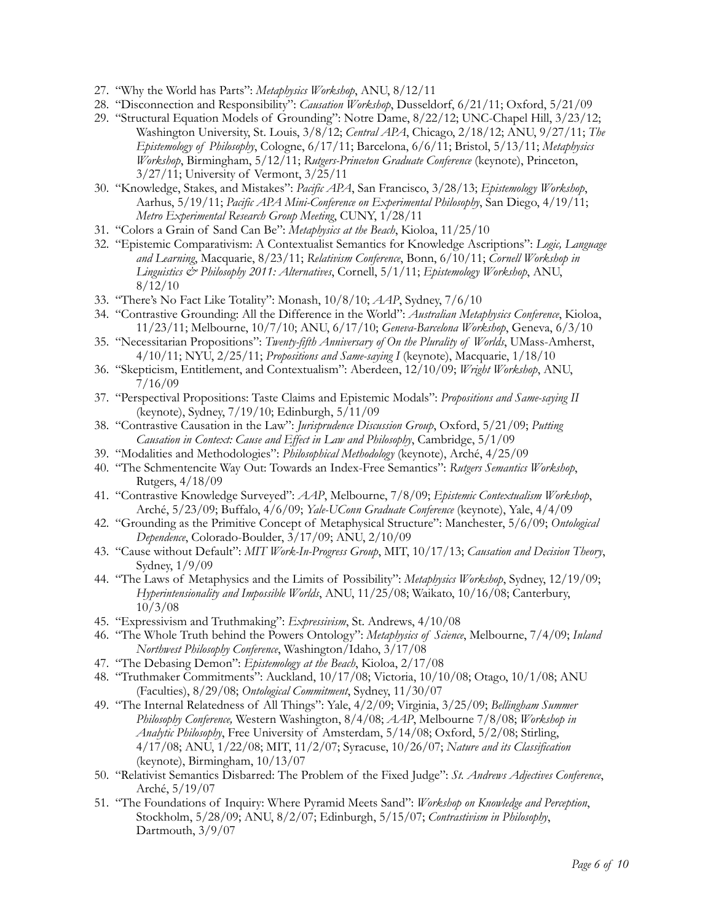- 27. "Why the World has Parts": *Metaphysics Workshop*, ANU, 8/12/11
- 28. "Disconnection and Responsibility": *Causation Workshop*, Dusseldorf, 6/21/11; Oxford, 5/21/09
- 29. "Structural Equation Models of Grounding": Notre Dame, 8/22/12; UNC-Chapel Hill, 3/23/12; Washington University, St. Louis, 3/8/12; *Central APA*, Chicago, 2/18/12; ANU, 9/27/11; *The Epistemology of Philosophy*, Cologne, 6/17/11; Barcelona, 6/6/11; Bristol, 5/13/11; *Metaphysics Workshop*, Birmingham, 5/12/11; *Rutgers-Princeton Graduate Conference* (keynote), Princeton, 3/27/11; University of Vermont, 3/25/11
- 30. "Knowledge, Stakes, and Mistakes": *Pacific APA*, San Francisco, 3/28/13; *Epistemology Workshop*, Aarhus, 5/19/11; *Pacific APA Mini-Conference on Experimental Philosophy*, San Diego, 4/19/11; *Metro Experimental Research Group Meeting*, CUNY, 1/28/11
- 31. "Colors a Grain of Sand Can Be": *Metaphysics at the Beach*, Kioloa, 11/25/10
- 32. "Epistemic Comparativism: A Contextualist Semantics for Knowledge Ascriptions": *Logic, Language and Learning*, Macquarie, 8/23/11; *Relativism Conference*, Bonn, 6/10/11; *Cornell Workshop in Linguistics & Philosophy 2011: Alternatives*, Cornell, 5/1/11; *Epistemology Workshop*, ANU, 8/12/10
- 33. "There's No Fact Like Totality": Monash, 10/8/10; *AAP*, Sydney, 7/6/10
- 34. "Contrastive Grounding: All the Difference in the World": *Australian Metaphysics Conference*, Kioloa, 11/23/11; Melbourne, 10/7/10; ANU, 6/17/10; *Geneva-Barcelona Workshop*, Geneva, 6/3/10
- 35. "Necessitarian Propositions": *Twenty-fifth Anniversary of On the Plurality of Worlds*, UMass-Amherst, 4/10/11; NYU, 2/25/11; *Propositions and Same-saying I* (keynote), Macquarie, 1/18/10
- 36. "Skepticism, Entitlement, and Contextualism": Aberdeen, 12/10/09; *Wright Workshop*, ANU, 7/16/09
- 37. "Perspectival Propositions: Taste Claims and Epistemic Modals": *Propositions and Same-saying II* (keynote), Sydney, 7/19/10; Edinburgh, 5/11/09
- 38. "Contrastive Causation in the Law": *Jurisprudence Discussion Group*, Oxford, 5/21/09; *Putting Causation in Context: Cause and Effect in Law and Philosophy*, Cambridge, 5/1/09
- 39. "Modalities and Methodologies": *Philosophical Methodology* (keynote), Arché, 4/25/09
- 40. "The Schmentencite Way Out: Towards an Index-Free Semantics": *Rutgers Semantics Workshop*, Rutgers, 4/18/09
- 41. "Contrastive Knowledge Surveyed": *AAP*, Melbourne, 7/8/09; *Epistemic Contextualism Workshop*, Arché, 5/23/09; Buffalo, 4/6/09; *Yale-UConn Graduate Conference* (keynote), Yale, 4/4/09
- 42. "Grounding as the Primitive Concept of Metaphysical Structure": Manchester, 5/6/09; *Ontological Dependence*, Colorado-Boulder, 3/17/09; ANU, 2/10/09
- 43. "Cause without Default": *MIT Work-In-Progress Group*, MIT, 10/17/13; *Causation and Decision Theory*, Sydney, 1/9/09
- 44. "The Laws of Metaphysics and the Limits of Possibility": *Metaphysics Workshop*, Sydney, 12/19/09; *Hyperintensionality and Impossible Worlds*, ANU, 11/25/08; Waikato, 10/16/08; Canterbury, 10/3/08
- 45. "Expressivism and Truthmaking": *Expressivism*, St. Andrews, 4/10/08
- 46. "The Whole Truth behind the Powers Ontology": *Metaphysics of Science*, Melbourne, 7/4/09; *Inland Northwest Philosophy Conference*, Washington/Idaho, 3/17/08
- 47. "The Debasing Demon": *Epistemology at the Beach*, Kioloa, 2/17/08
- 48. "Truthmaker Commitments": Auckland, 10/17/08; Victoria, 10/10/08; Otago, 10/1/08; ANU (Faculties), 8/29/08; *Ontological Commitment*, Sydney, 11/30/07
- 49. "The Internal Relatedness of All Things": Yale, 4/2/09; Virginia, 3/25/09; *Bellingham Summer Philosophy Conference,* Western Washington, 8/4/08; *AAP*, Melbourne 7/8/08; *Workshop in Analytic Philosophy*, Free University of Amsterdam, 5/14/08; Oxford, 5/2/08; Stirling, 4/17/08; ANU, 1/22/08; MIT, 11/2/07; Syracuse, 10/26/07; *Nature and its Classification* (keynote), Birmingham, 10/13/07
- 50. "Relativist Semantics Disbarred: The Problem of the Fixed Judge": *St. Andrews Adjectives Conference*, Arché, 5/19/07
- 51. "The Foundations of Inquiry: Where Pyramid Meets Sand": *Workshop on Knowledge and Perception*, Stockholm, 5/28/09; ANU, 8/2/07; Edinburgh, 5/15/07; *Contrastivism in Philosophy*, Dartmouth, 3/9/07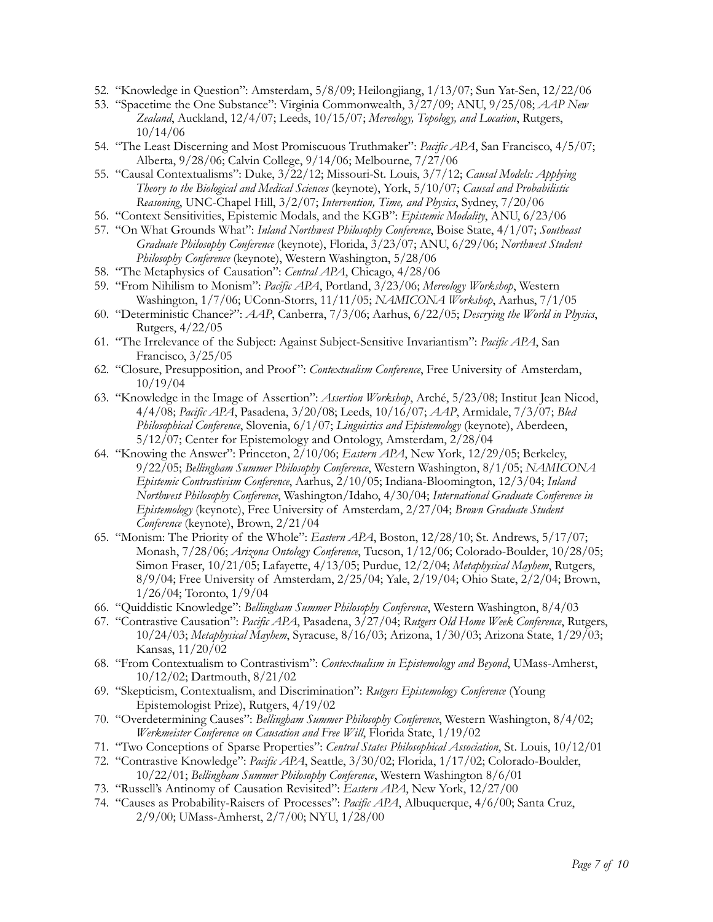- 52. "Knowledge in Question": Amsterdam, 5/8/09; Heilongjiang, 1/13/07; Sun Yat-Sen, 12/22/06
- 53. "Spacetime the One Substance": Virginia Commonwealth, 3/27/09; ANU, 9/25/08; *AAP New Zealand*, Auckland, 12/4/07; Leeds, 10/15/07; *Mereology, Topology, and Location*, Rutgers, 10/14/06
- 54. "The Least Discerning and Most Promiscuous Truthmaker": *Pacific APA*, San Francisco, 4/5/07; Alberta, 9/28/06; Calvin College, 9/14/06; Melbourne, 7/27/06
- 55. "Causal Contextualisms": Duke, 3/22/12; Missouri-St. Louis, 3/7/12; *Causal Models: Applying Theory to the Biological and Medical Sciences* (keynote), York, 5/10/07; *Causal and Probabilistic Reasoning*, UNC-Chapel Hill, 3/2/07; *Intervention, Time, and Physics*, Sydney, 7/20/06
- 56. "Context Sensitivities, Epistemic Modals, and the KGB": *Epistemic Modality*, ANU, 6/23/06
- 57. "On What Grounds What": *Inland Northwest Philosophy Conference*, Boise State, 4/1/07; *Southeast Graduate Philosophy Conference* (keynote), Florida, 3/23/07; ANU, 6/29/06; *Northwest Student Philosophy Conference* (keynote), Western Washington, 5/28/06
- 58. "The Metaphysics of Causation": *Central APA*, Chicago, 4/28/06
- 59. "From Nihilism to Monism": *Pacific APA*, Portland, 3/23/06; *Mereology Workshop*, Western Washington, 1/7/06; UConn-Storrs, 11/11/05; *NAMICONA Workshop*, Aarhus, 7/1/05
- 60. "Deterministic Chance?": *AAP*, Canberra, 7/3/06; Aarhus, 6/22/05; *Descrying the World in Physics*, Rutgers, 4/22/05
- 61. "The Irrelevance of the Subject: Against Subject-Sensitive Invariantism": *Pacific APA*, San Francisco, 3/25/05
- 62. "Closure, Presupposition, and Proof ": *Contextualism Conference*, Free University of Amsterdam, 10/19/04
- 63. "Knowledge in the Image of Assertion": *Assertion Workshop*, Arché, 5/23/08; Institut Jean Nicod, 4/4/08; *Pacific APA*, Pasadena, 3/20/08; Leeds, 10/16/07; *AAP*, Armidale, 7/3/07; *Bled Philosophical Conference*, Slovenia, 6/1/07; *Linguistics and Epistemology* (keynote), Aberdeen, 5/12/07; Center for Epistemology and Ontology, Amsterdam, 2/28/04
- 64. "Knowing the Answer": Princeton, 2/10/06; *Eastern APA*, New York, 12/29/05; Berkeley, 9/22/05; *Bellingham Summer Philosophy Conference*, Western Washington, 8/1/05; *NAMICONA Epistemic Contrastivism Conference*, Aarhus, 2/10/05; Indiana-Bloomington, 12/3/04; *Inland Northwest Philosophy Conference*, Washington/Idaho, 4/30/04; *International Graduate Conference in Epistemology* (keynote), Free University of Amsterdam, 2/27/04; *Brown Graduate Student Conference* (keynote), Brown, 2/21/04
- 65. "Monism: The Priority of the Whole": *Eastern APA*, Boston, 12/28/10; St. Andrews, 5/17/07; Monash, 7/28/06; *Arizona Ontology Conference*, Tucson, 1/12/06; Colorado-Boulder, 10/28/05; Simon Fraser, 10/21/05; Lafayette, 4/13/05; Purdue, 12/2/04; *Metaphysical Mayhem*, Rutgers, 8/9/04; Free University of Amsterdam, 2/25/04; Yale, 2/19/04; Ohio State, 2/2/04; Brown, 1/26/04; Toronto, 1/9/04
- 66. "Quiddistic Knowledge": *Bellingham Summer Philosophy Conference*, Western Washington, 8/4/03
- 67. "Contrastive Causation": *Pacific APA*, Pasadena, 3/27/04; *Rutgers Old Home Week Conference*, Rutgers, 10/24/03; *Metaphysical Mayhem*, Syracuse, 8/16/03; Arizona, 1/30/03; Arizona State, 1/29/03; Kansas, 11/20/02
- 68. "From Contextualism to Contrastivism": *Contextualism in Epistemology and Beyond*, UMass-Amherst, 10/12/02; Dartmouth, 8/21/02
- 69. "Skepticism, Contextualism, and Discrimination": *Rutgers Epistemology Conference* (Young Epistemologist Prize), Rutgers, 4/19/02
- 70. "Overdetermining Causes": *Bellingham Summer Philosophy Conference*, Western Washington, 8/4/02; *Werkmeister Conference on Causation and Free Will*, Florida State, 1/19/02
- 71. "Two Conceptions of Sparse Properties": *Central States Philosophical Association*, St. Louis, 10/12/01
- 72. "Contrastive Knowledge": *Pacific APA*, Seattle, 3/30/02; Florida, 1/17/02; Colorado-Boulder, 10/22/01; *Bellingham Summer Philosophy Conference*, Western Washington 8/6/01
- 73. "Russell's Antinomy of Causation Revisited": *Eastern APA*, New York, 12/27/00
- 74. "Causes as Probability-Raisers of Processes": *Pacific APA*, Albuquerque, 4/6/00; Santa Cruz, 2/9/00; UMass-Amherst, 2/7/00; NYU, 1/28/00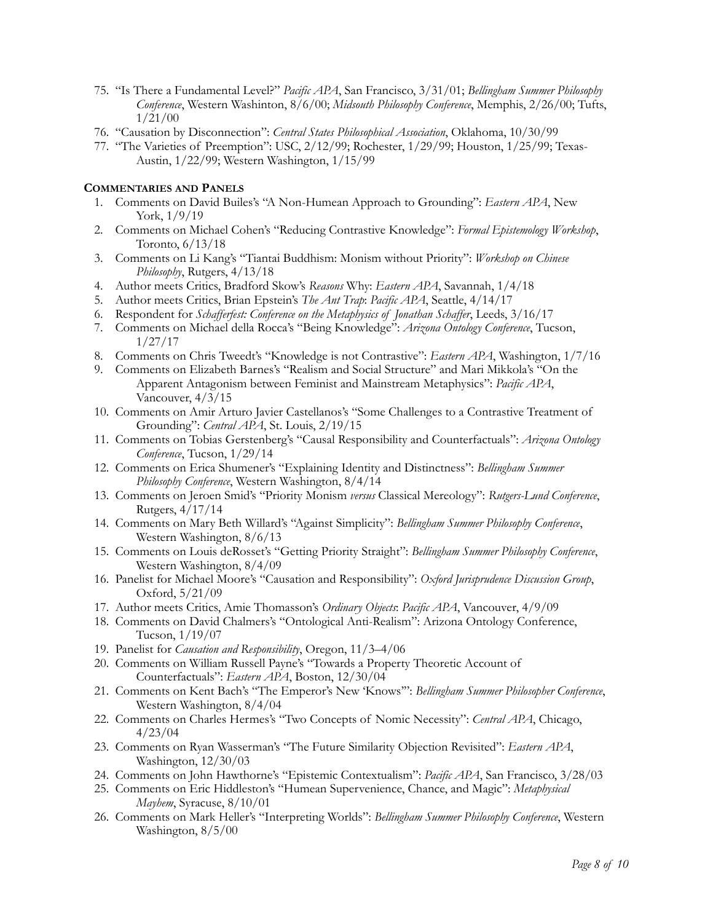- 75. "Is There a Fundamental Level?" *Pacific APA*, San Francisco, 3/31/01; *Bellingham Summer Philosophy Conference*, Western Washinton, 8/6/00; *Midsouth Philosophy Conference*, Memphis, 2/26/00; Tufts, 1/21/00
- 76. "Causation by Disconnection": *Central States Philosophical Association*, Oklahoma, 10/30/99
- 77. "The Varieties of Preemption": USC, 2/12/99; Rochester, 1/29/99; Houston, 1/25/99; Texas-Austin, 1/22/99; Western Washington, 1/15/99

## **COMMENTARIES AND PANELS**

- 1. Comments on David Builes's "A Non-Humean Approach to Grounding": *Eastern APA*, New York, 1/9/19
- 2. Comments on Michael Cohen's "Reducing Contrastive Knowledge": *Formal Epistemology Workshop*, Toronto, 6/13/18
- 3. Comments on Li Kang's "Tiantai Buddhism: Monism without Priority": *Workshop on Chinese Philosophy*, Rutgers, 4/13/18
- 4. Author meets Critics, Bradford Skow's *Reasons* Why: *Eastern APA*, Savannah, 1/4/18
- 5. Author meets Critics, Brian Epstein's *The Ant Trap*: *Pacific APA*, Seattle, 4/14/17
- 6. Respondent for *Schafferfest: Conference on the Metaphysics of Jonathan Schaffer*, Leeds, 3/16/17
- 7. Comments on Michael della Rocca's "Being Knowledge": *Arizona Ontology Conference*, Tucson, 1/27/17
- 8. Comments on Chris Tweedt's "Knowledge is not Contrastive": *Eastern APA*, Washington, 1/7/16
- 9. Comments on Elizabeth Barnes's "Realism and Social Structure" and Mari Mikkola's "On the Apparent Antagonism between Feminist and Mainstream Metaphysics": *Pacific APA*, Vancouver, 4/3/15
- 10. Comments on Amir Arturo Javier Castellanos's "Some Challenges to a Contrastive Treatment of Grounding": *Central APA*, St. Louis, 2/19/15
- 11. Comments on Tobias Gerstenberg's "Causal Responsibility and Counterfactuals": *Arizona Ontology Conference*, Tucson, 1/29/14
- 12. Comments on Erica Shumener's "Explaining Identity and Distinctness": *Bellingham Summer Philosophy Conference*, Western Washington, 8/4/14
- 13. Comments on Jeroen Smid's "Priority Monism *versus* Classical Mereology": *Rutgers-Lund Conference*, Rutgers, 4/17/14
- 14. Comments on Mary Beth Willard's "Against Simplicity": *Bellingham Summer Philosophy Conference*, Western Washington, 8/6/13
- 15. Comments on Louis deRosset's "Getting Priority Straight": *Bellingham Summer Philosophy Conference*, Western Washington, 8/4/09
- 16. Panelist for Michael Moore's "Causation and Responsibility": *Oxford Jurisprudence Discussion Group*, Oxford, 5/21/09
- 17. Author meets Critics, Amie Thomasson's *Ordinary Objects*: *Pacific APA*, Vancouver, 4/9/09
- 18. Comments on David Chalmers's "Ontological Anti-Realism": Arizona Ontology Conference, Tucson, 1/19/07
- 19. Panelist for *Causation and Responsibility*, Oregon, 11/3–4/06
- 20. Comments on William Russell Payne's "Towards a Property Theoretic Account of Counterfactuals": *Eastern APA*, Boston, 12/30/04
- 21. Comments on Kent Bach's "The Emperor's New 'Knows'": *Bellingham Summer Philosopher Conference*, Western Washington, 8/4/04
- 22. Comments on Charles Hermes's "Two Concepts of Nomic Necessity": *Central APA*, Chicago, 4/23/04
- 23. Comments on Ryan Wasserman's "The Future Similarity Objection Revisited": *Eastern APA*, Washington, 12/30/03
- 24. Comments on John Hawthorne's "Epistemic Contextualism": *Pacific APA*, San Francisco, 3/28/03
- 25. Comments on Eric Hiddleston's "Humean Supervenience, Chance, and Magic": *Metaphysical Mayhem*, Syracuse, 8/10/01
- 26. Comments on Mark Heller's "Interpreting Worlds": *Bellingham Summer Philosophy Conference*, Western Washington, 8/5/00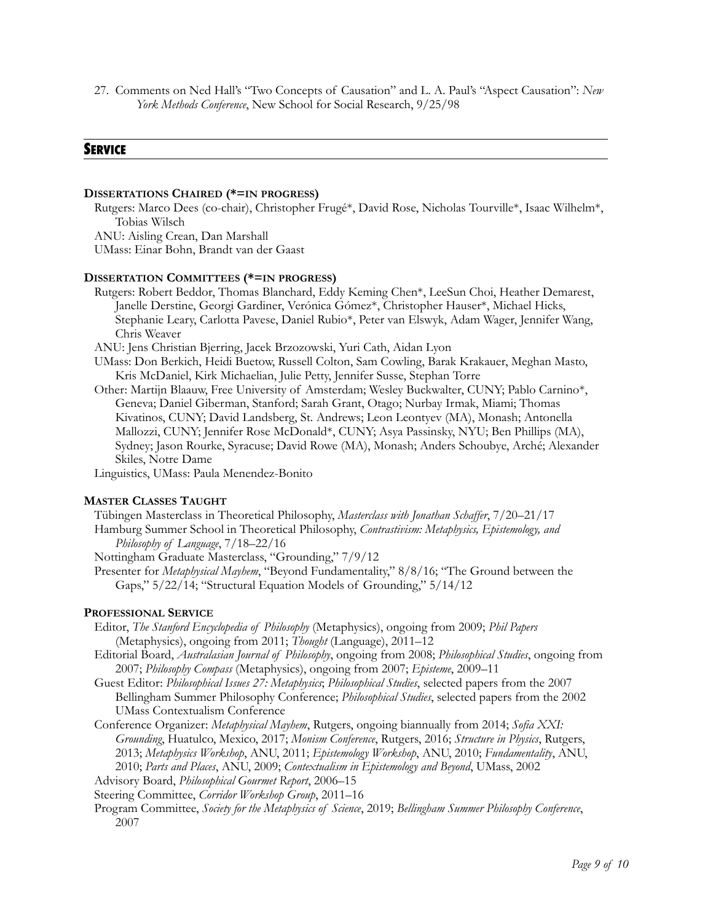27. Comments on Ned Hall's "Two Concepts of Causation" and L. A. Paul's "Aspect Causation": *New York Methods Conference*, New School for Social Research, 9/25/98

## **SERVICE**

#### **DISSERTATIONS CHAIRED (\*=IN PROGRESS)**

Rutgers: Marco Dees (co-chair), Christopher Frugé\*, David Rose, Nicholas Tourville\*, Isaac Wilhelm\*, Tobias Wilsch ANU: Aisling Crean, Dan Marshall

UMass: Einar Bohn, Brandt van der Gaast

#### **DISSERTATION COMMITTEES (\*=IN PROGRESS)**

Rutgers: Robert Beddor, Thomas Blanchard, Eddy Keming Chen\*, LeeSun Choi, Heather Demarest, Janelle Derstine, Georgi Gardiner, Verónica Gómez\*, Christopher Hauser\*, Michael Hicks, Stephanie Leary, Carlotta Pavese, Daniel Rubio\*, Peter van Elswyk, Adam Wager, Jennifer Wang, Chris Weaver

ANU: Jens Christian Bjerring, Jacek Brzozowski, Yuri Cath, Aidan Lyon

UMass: Don Berkich, Heidi Buetow, Russell Colton, Sam Cowling, Barak Krakauer, Meghan Masto, Kris McDaniel, Kirk Michaelian, Julie Petty, Jennifer Susse, Stephan Torre

Other: Martijn Blaauw, Free University of Amsterdam; Wesley Buckwalter, CUNY; Pablo Carnino\*, Geneva; Daniel Giberman, Stanford; Sarah Grant, Otago; Nurbay Irmak, Miami; Thomas Kivatinos, CUNY; David Landsberg, St. Andrews; Leon Leontyev (MA), Monash; Antonella Mallozzi, CUNY; Jennifer Rose McDonald\*, CUNY; Asya Passinsky, NYU; Ben Phillips (MA), Sydney; Jason Rourke, Syracuse; David Rowe (MA), Monash; Anders Schoubye, Arché; Alexander Skiles, Notre Dame

Linguistics, UMass: Paula Menendez-Bonito

#### **MASTER CLASSES TAUGHT**

Tübingen Masterclass in Theoretical Philosophy, *Masterclass with Jonathan Schaffer*, 7/20–21/17 Hamburg Summer School in Theoretical Philosophy, *Contrastivism: Metaphysics, Epistemology, and Philosophy of Language*, 7/18–22/16

Nottingham Graduate Masterclass, "Grounding," 7/9/12

Presenter for *Metaphysical Mayhem*, "Beyond Fundamentality," 8/8/16; "The Ground between the Gaps," 5/22/14; "Structural Equation Models of Grounding," 5/14/12

#### **PROFESSIONAL SERVICE**

- Editor, *The Stanford Encyclopedia of Philosophy* (Metaphysics), ongoing from 2009; *Phil Papers* (Metaphysics), ongoing from 2011; *Thought* (Language), 2011–12
- Editorial Board, *Australasian Journal of Philosophy*, ongoing from 2008; *Philosophical Studies*, ongoing from 2007; *Philosophy Compass* (Metaphysics), ongoing from 2007; *Episteme*, 2009–11
- Guest Editor: *Philosophical Issues 27: Metaphysics*; *Philosophical Studies*, selected papers from the 2007 Bellingham Summer Philosophy Conference; *Philosophical Studies*, selected papers from the 2002 UMass Contextualism Conference
- Conference Organizer: *Metaphysical Mayhem*, Rutgers, ongoing biannually from 2014; *Sofia XXI: Grounding*, Huatulco, Mexico, 2017; *Monism Conference*, Rutgers, 2016; *Structure in Physics*, Rutgers, 2013; *Metaphysics Workshop*, ANU, 2011; *Epistemology Workshop*, ANU, 2010; *Fundamentality*, ANU, 2010; *Parts and Places*, ANU, 2009; *Contextualism in Epistemology and Beyond*, UMass, 2002

Advisory Board, *Philosophical Gourmet Report*, 2006–15

Steering Committee, *Corridor Workshop Group*, 2011–16

Program Committee, *Society for the Metaphysics of Science*, 2019; *Bellingham Summer Philosophy Conference*, 2007